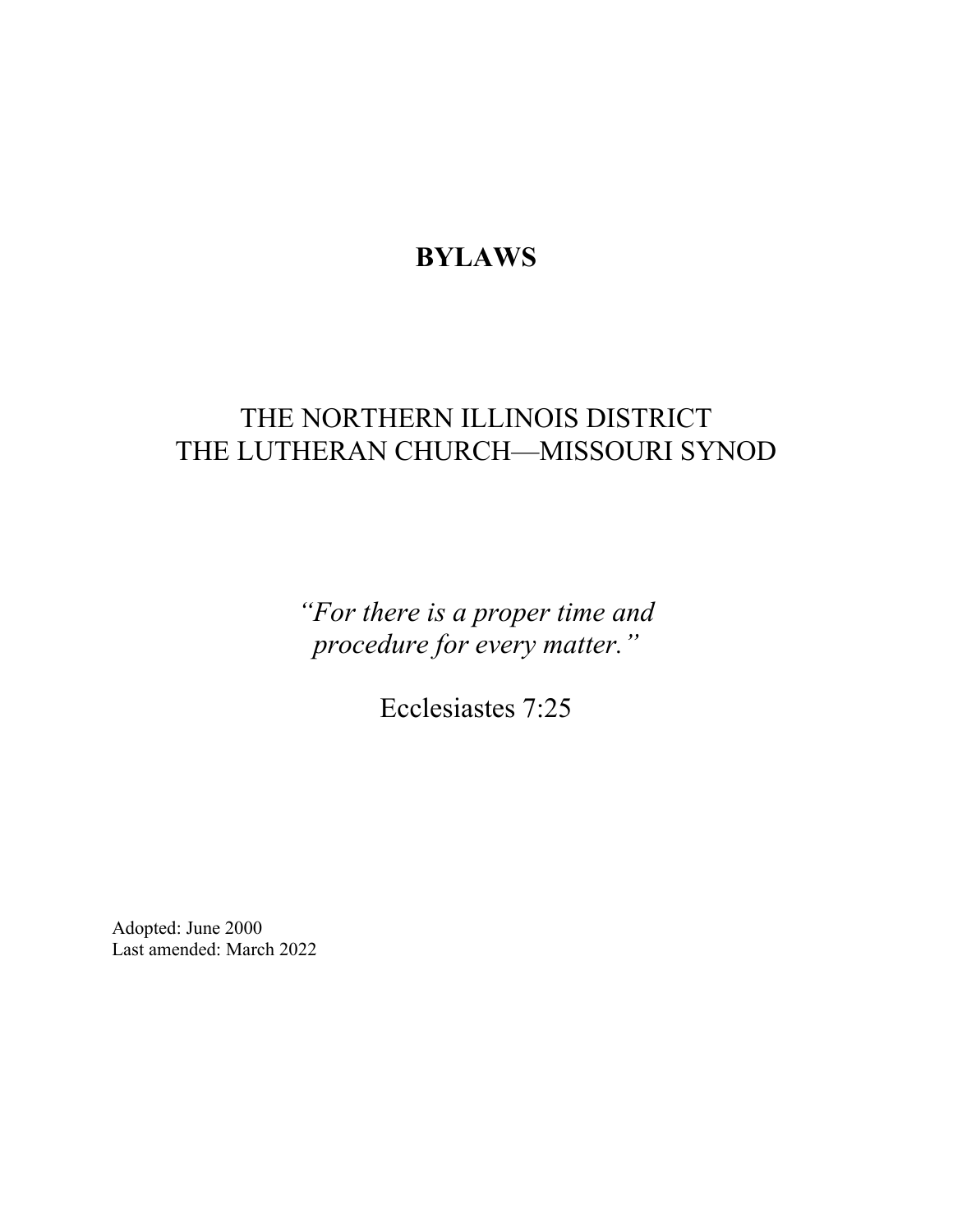# **BYLAWS**

# THE NORTHERN ILLINOIS DISTRICT THE LUTHERAN CHURCH—MISSOURI SYNOD

*"For there is a proper time and procedure for every matter."*

Ecclesiastes 7:25

Adopted: June 2000 Last amended: March 2022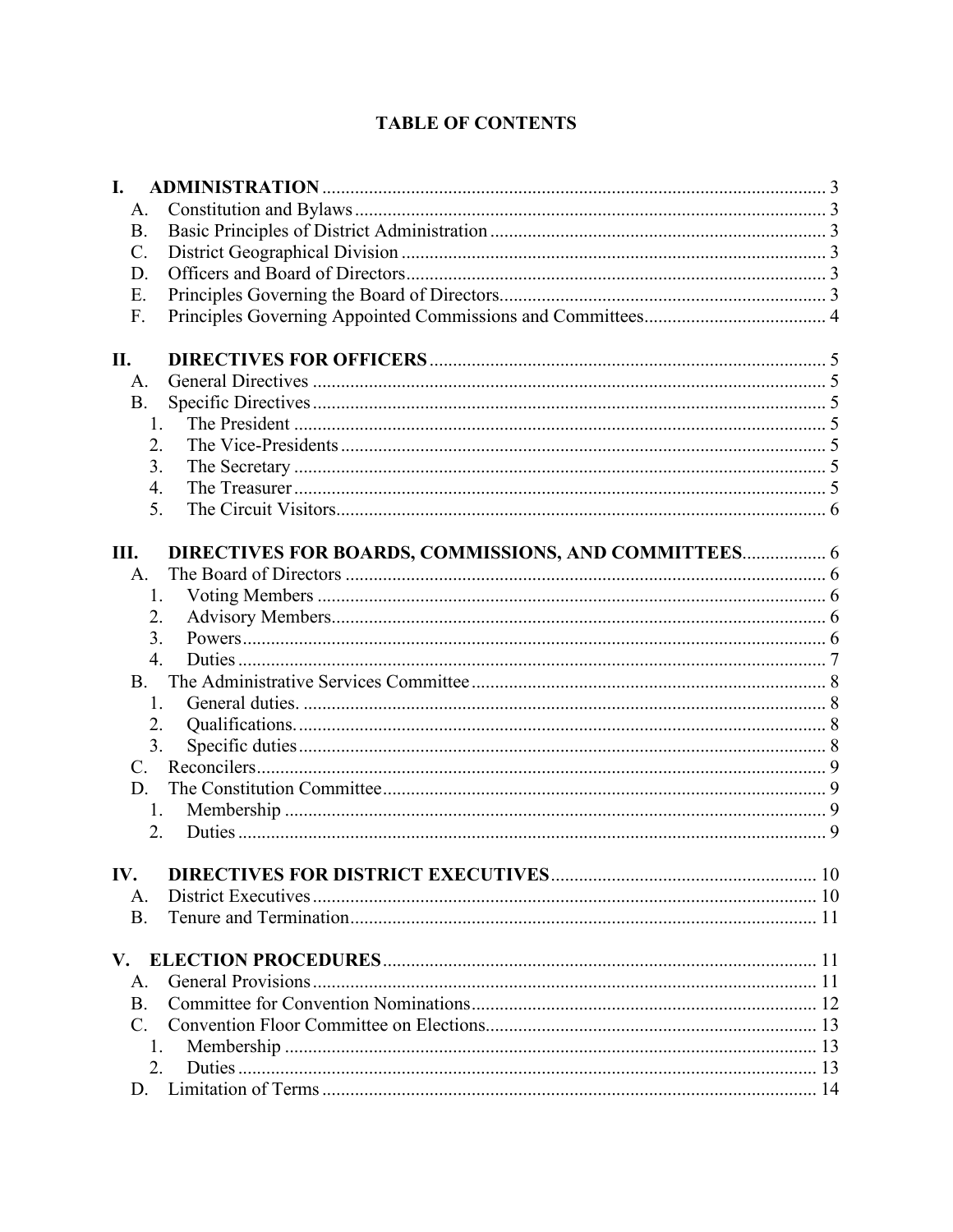# **TABLE OF CONTENTS**

| I.             |                                                      |  |
|----------------|------------------------------------------------------|--|
| A.             |                                                      |  |
| <b>B.</b>      |                                                      |  |
| $\mathbf{C}$ . |                                                      |  |
| D.             |                                                      |  |
| E.             |                                                      |  |
| F.             |                                                      |  |
| II.            |                                                      |  |
| A.             |                                                      |  |
| <b>B.</b>      |                                                      |  |
|                | 1.                                                   |  |
|                | 2.                                                   |  |
|                | 3.                                                   |  |
|                | 4.                                                   |  |
|                | 5.                                                   |  |
| Ш.             | DIRECTIVES FOR BOARDS, COMMISSIONS, AND COMMITTEES 6 |  |
| А.             |                                                      |  |
|                | 1.                                                   |  |
|                | 2.                                                   |  |
|                | 3.                                                   |  |
|                | $\overline{4}$ .                                     |  |
| B.             |                                                      |  |
|                | 1.                                                   |  |
|                | 2.                                                   |  |
|                | 3.                                                   |  |
| $\mathbf{C}$ . |                                                      |  |
| D.             |                                                      |  |
|                | 1.                                                   |  |
|                | 2.                                                   |  |
| IV.            |                                                      |  |
| Α.             |                                                      |  |
| <b>B.</b>      |                                                      |  |
|                |                                                      |  |
| A.             |                                                      |  |
| <b>B.</b>      |                                                      |  |
|                |                                                      |  |
|                | 1.                                                   |  |
|                | 2.                                                   |  |
| D.             |                                                      |  |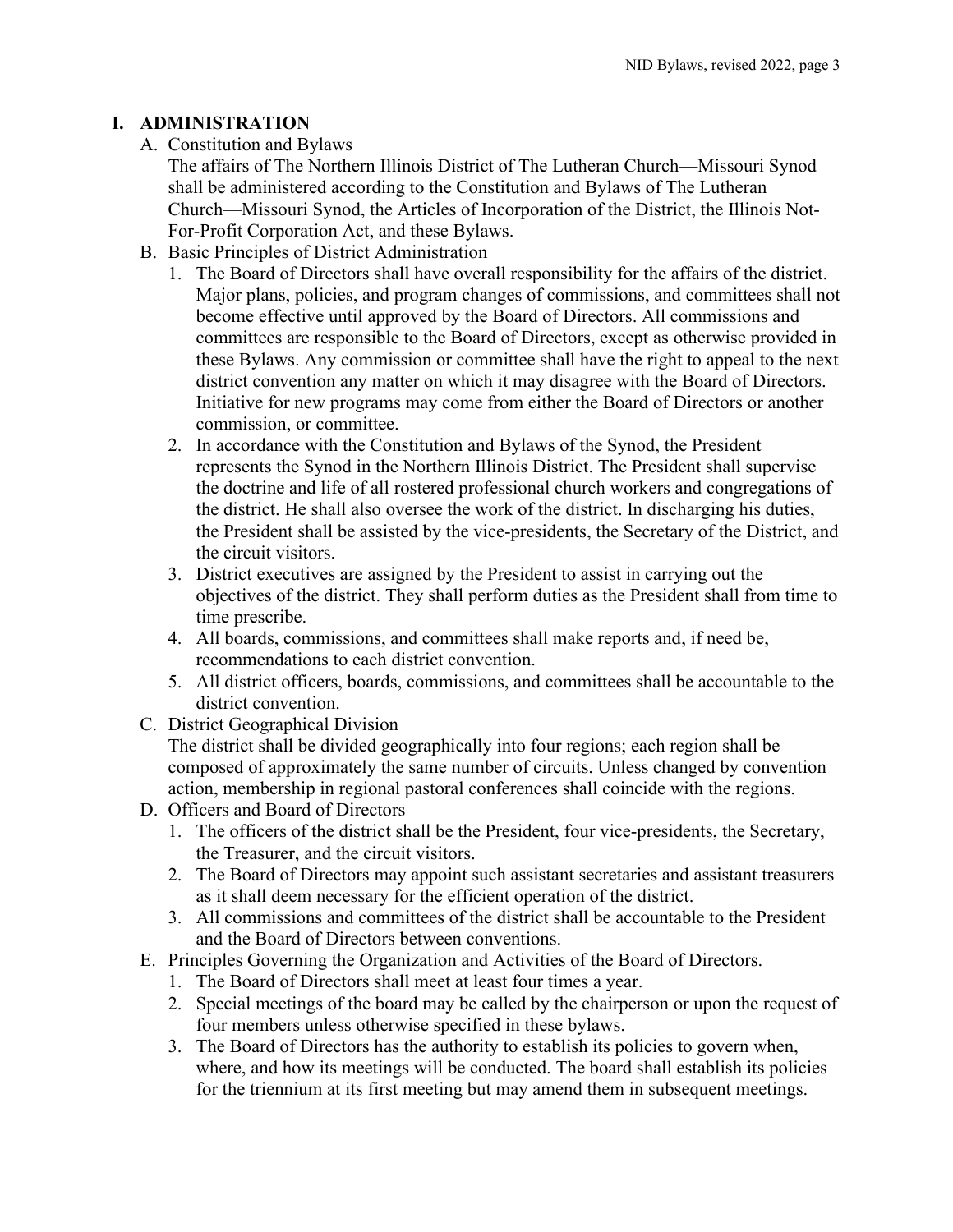## <span id="page-3-1"></span><span id="page-3-0"></span>**I. ADMINISTRATION**

A. Constitution and Bylaws

The affairs of The Northern Illinois District of The Lutheran Church—Missouri Synod shall be administered according to the Constitution and Bylaws of The Lutheran Church—Missouri Synod, the Articles of Incorporation of the District, the Illinois Not-For-Profit Corporation Act, and these Bylaws.

- <span id="page-3-2"></span>B. Basic Principles of District Administration
	- 1. The Board of Directors shall have overall responsibility for the affairs of the district. Major plans, policies, and program changes of commissions, and committees shall not become effective until approved by the Board of Directors. All commissions and committees are responsible to the Board of Directors, except as otherwise provided in these Bylaws. Any commission or committee shall have the right to appeal to the next district convention any matter on which it may disagree with the Board of Directors. Initiative for new programs may come from either the Board of Directors or another commission, or committee.
	- 2. In accordance with the Constitution and Bylaws of the Synod, the President represents the Synod in the Northern Illinois District. The President shall supervise the doctrine and life of all rostered professional church workers and congregations of the district. He shall also oversee the work of the district. In discharging his duties, the President shall be assisted by the vice-presidents, the Secretary of the District, and the circuit visitors.
	- 3. District executives are assigned by the President to assist in carrying out the objectives of the district. They shall perform duties as the President shall from time to time prescribe.
	- 4. All boards, commissions, and committees shall make reports and, if need be, recommendations to each district convention.
	- 5. All district officers, boards, commissions, and committees shall be accountable to the district convention.
- <span id="page-3-3"></span>C. District Geographical Division

The district shall be divided geographically into four regions; each region shall be composed of approximately the same number of circuits. Unless changed by convention action, membership in regional pastoral conferences shall coincide with the regions.

- <span id="page-3-4"></span>D. Officers and Board of Directors
	- 1. The officers of the district shall be the President, four vice-presidents, the Secretary, the Treasurer, and the circuit visitors.
	- 2. The Board of Directors may appoint such assistant secretaries and assistant treasurers as it shall deem necessary for the efficient operation of the district.
	- 3. All commissions and committees of the district shall be accountable to the President and the Board of Directors between conventions.
- <span id="page-3-5"></span>E. Principles Governing the Organization and Activities of the Board of Directors.
	- 1. The Board of Directors shall meet at least four times a year.
	- 2. Special meetings of the board may be called by the chairperson or upon the request of four members unless otherwise specified in these bylaws.
	- 3. The Board of Directors has the authority to establish its policies to govern when, where, and how its meetings will be conducted. The board shall establish its policies for the triennium at its first meeting but may amend them in subsequent meetings.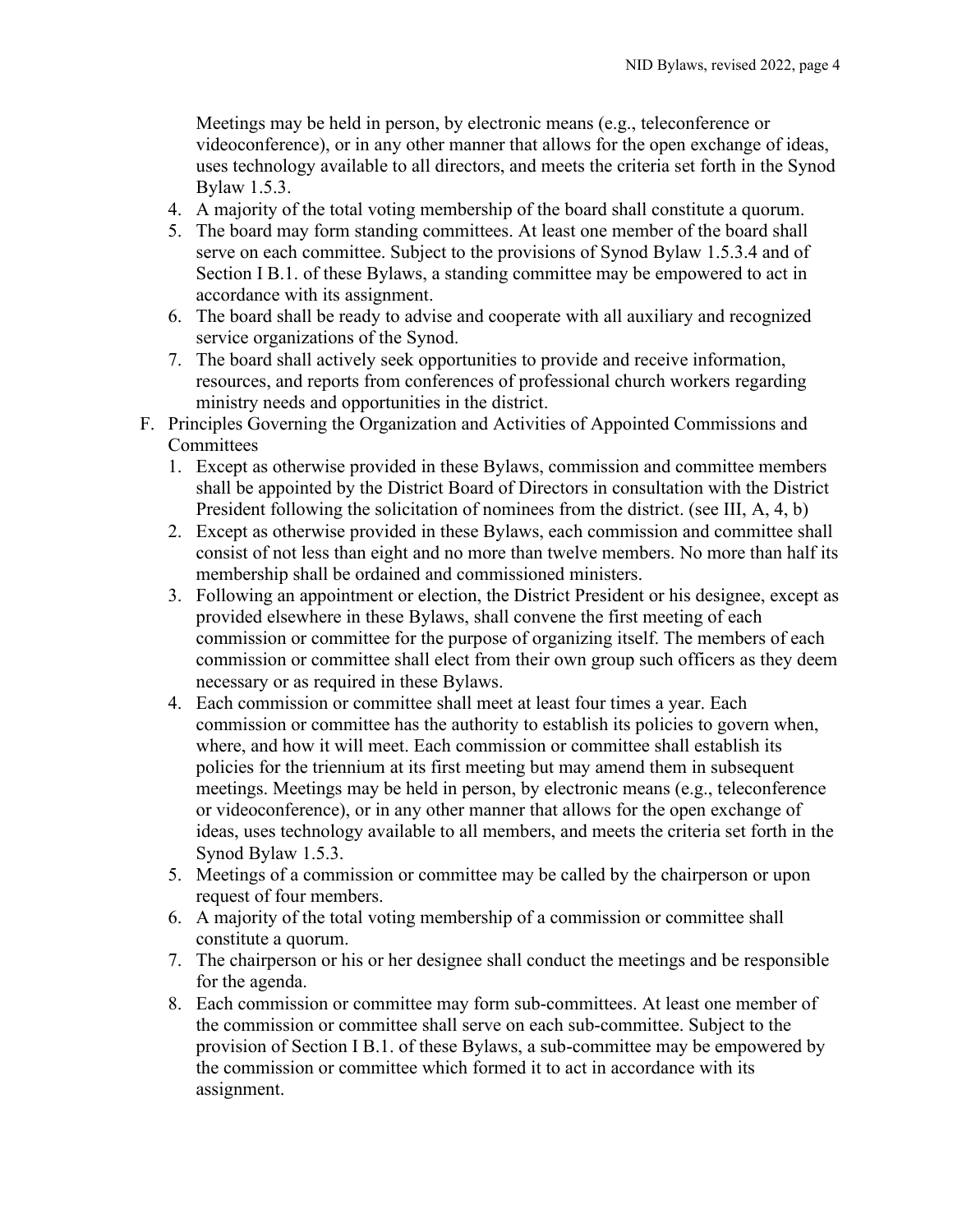Meetings may be held in person, by electronic means (e.g., teleconference or videoconference), or in any other manner that allows for the open exchange of ideas, uses technology available to all directors, and meets the criteria set forth in the Synod Bylaw 1.5.3.

- 4. A majority of the total voting membership of the board shall constitute a quorum.
- 5. The board may form standing committees. At least one member of the board shall serve on each committee. Subject to the provisions of Synod Bylaw 1.5.3.4 and of Section I B.1. of these Bylaws, a standing committee may be empowered to act in accordance with its assignment.
- 6. The board shall be ready to advise and cooperate with all auxiliary and recognized service organizations of the Synod.
- 7. The board shall actively seek opportunities to provide and receive information, resources, and reports from conferences of professional church workers regarding ministry needs and opportunities in the district.
- <span id="page-4-0"></span>F. Principles Governing the Organization and Activities of Appointed Commissions and **Committees** 
	- 1. Except as otherwise provided in these Bylaws, commission and committee members shall be appointed by the District Board of Directors in consultation with the District President following the solicitation of nominees from the district. (see III, A, 4, b)
	- 2. Except as otherwise provided in these Bylaws, each commission and committee shall consist of not less than eight and no more than twelve members. No more than half its membership shall be ordained and commissioned ministers.
	- 3. Following an appointment or election, the District President or his designee, except as provided elsewhere in these Bylaws, shall convene the first meeting of each commission or committee for the purpose of organizing itself. The members of each commission or committee shall elect from their own group such officers as they deem necessary or as required in these Bylaws.
	- 4. Each commission or committee shall meet at least four times a year. Each commission or committee has the authority to establish its policies to govern when, where, and how it will meet. Each commission or committee shall establish its policies for the triennium at its first meeting but may amend them in subsequent meetings. Meetings may be held in person, by electronic means (e.g., teleconference or videoconference), or in any other manner that allows for the open exchange of ideas, uses technology available to all members, and meets the criteria set forth in the Synod Bylaw 1.5.3.
	- 5. Meetings of a commission or committee may be called by the chairperson or upon request of four members.
	- 6. A majority of the total voting membership of a commission or committee shall constitute a quorum.
	- 7. The chairperson or his or her designee shall conduct the meetings and be responsible for the agenda.
	- 8. Each commission or committee may form sub-committees. At least one member of the commission or committee shall serve on each sub-committee. Subject to the provision of Section I B.1. of these Bylaws, a sub-committee may be empowered by the commission or committee which formed it to act in accordance with its assignment.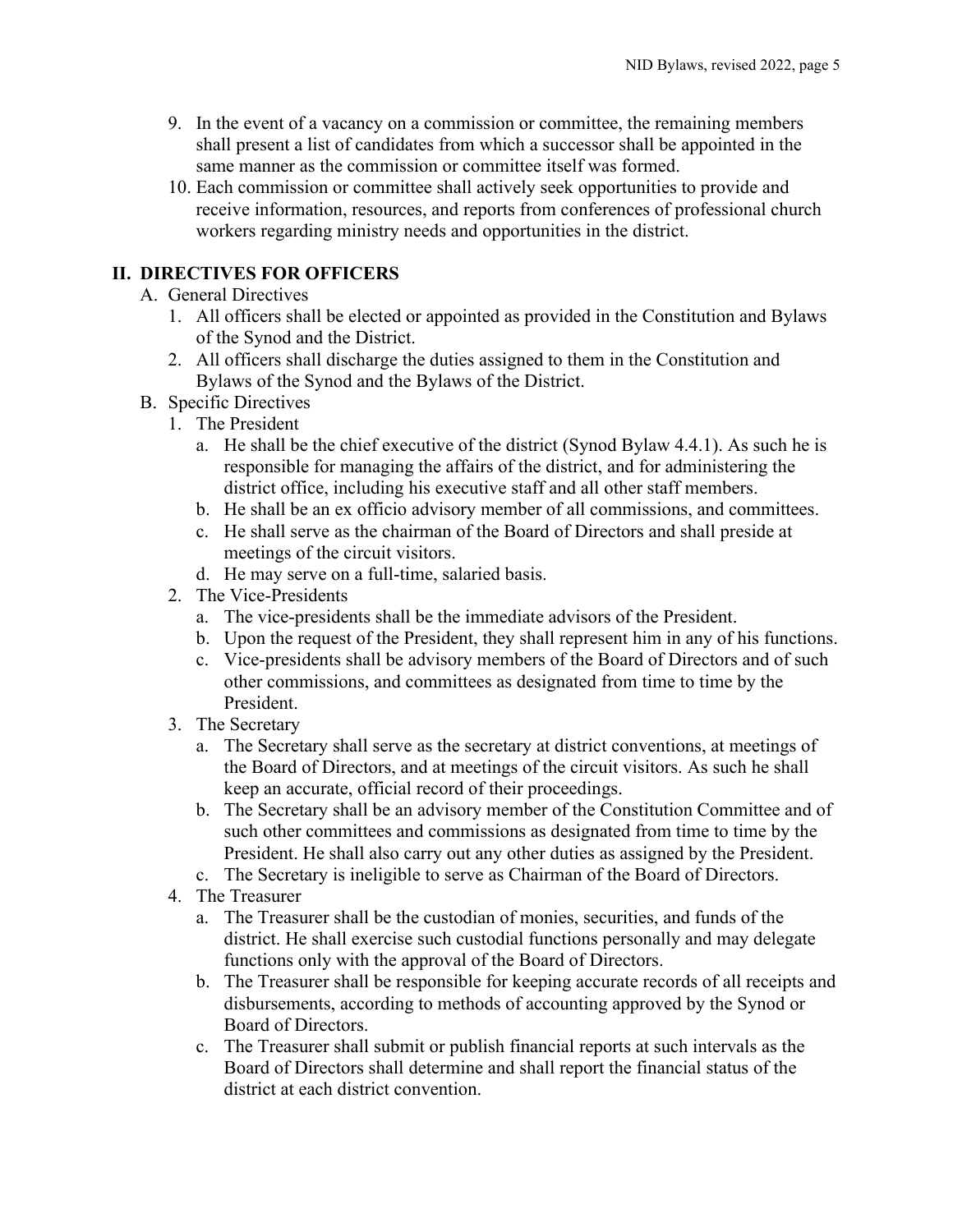- 9. In the event of a vacancy on a commission or committee, the remaining members shall present a list of candidates from which a successor shall be appointed in the same manner as the commission or committee itself was formed.
- 10. Each commission or committee shall actively seek opportunities to provide and receive information, resources, and reports from conferences of professional church workers regarding ministry needs and opportunities in the district.

## <span id="page-5-1"></span><span id="page-5-0"></span>**II. DIRECTIVES FOR OFFICERS**

- A. General Directives
	- 1. All officers shall be elected or appointed as provided in the Constitution and Bylaws of the Synod and the District.
	- 2. All officers shall discharge the duties assigned to them in the Constitution and Bylaws of the Synod and the Bylaws of the District.
- <span id="page-5-6"></span><span id="page-5-5"></span><span id="page-5-4"></span><span id="page-5-3"></span><span id="page-5-2"></span>B. Specific Directives
	- 1. The President
		- a. He shall be the chief executive of the district (Synod Bylaw 4.4.1). As such he is responsible for managing the affairs of the district, and for administering the district office, including his executive staff and all other staff members.
		- b. He shall be an ex officio advisory member of all commissions, and committees.
		- c. He shall serve as the chairman of the Board of Directors and shall preside at meetings of the circuit visitors.
		- d. He may serve on a full-time, salaried basis.
	- 2. The Vice-Presidents
		- a. The vice-presidents shall be the immediate advisors of the President.
		- b. Upon the request of the President, they shall represent him in any of his functions.
		- c. Vice-presidents shall be advisory members of the Board of Directors and of such other commissions, and committees as designated from time to time by the President.
	- 3. The Secretary
		- a. The Secretary shall serve as the secretary at district conventions, at meetings of the Board of Directors, and at meetings of the circuit visitors. As such he shall keep an accurate, official record of their proceedings.
		- b. The Secretary shall be an advisory member of the Constitution Committee and of such other committees and commissions as designated from time to time by the President. He shall also carry out any other duties as assigned by the President.
		- c. The Secretary is ineligible to serve as Chairman of the Board of Directors.
	- 4. The Treasurer
		- a. The Treasurer shall be the custodian of monies, securities, and funds of the district. He shall exercise such custodial functions personally and may delegate functions only with the approval of the Board of Directors.
		- b. The Treasurer shall be responsible for keeping accurate records of all receipts and disbursements, according to methods of accounting approved by the Synod or Board of Directors.
		- c. The Treasurer shall submit or publish financial reports at such intervals as the Board of Directors shall determine and shall report the financial status of the district at each district convention.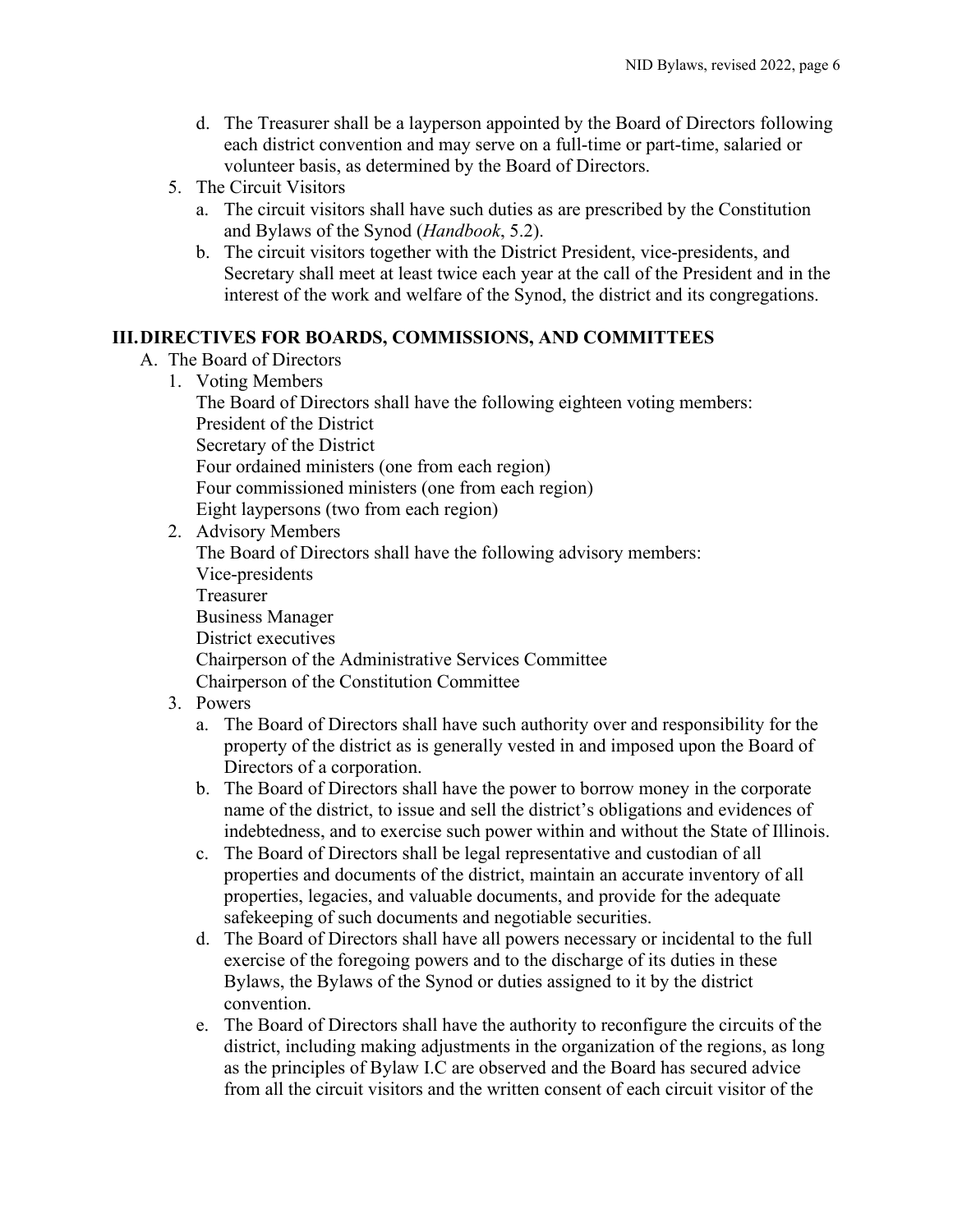- d. The Treasurer shall be a layperson appointed by the Board of Directors following each district convention and may serve on a full-time or part-time, salaried or volunteer basis, as determined by the Board of Directors.
- <span id="page-6-0"></span>5. The Circuit Visitors
	- a. The circuit visitors shall have such duties as are prescribed by the Constitution and Bylaws of the Synod (*Handbook*, 5.2).
	- b. The circuit visitors together with the District President, vice-presidents, and Secretary shall meet at least twice each year at the call of the President and in the interest of the work and welfare of the Synod, the district and its congregations.

#### <span id="page-6-2"></span><span id="page-6-1"></span>**III.DIRECTIVES FOR BOARDS, COMMISSIONS, AND COMMITTEES**

- <span id="page-6-5"></span><span id="page-6-4"></span><span id="page-6-3"></span>A. The Board of Directors
	- 1. Voting Members The Board of Directors shall have the following eighteen voting members: President of the District Secretary of the District Four ordained ministers (one from each region) Four commissioned ministers (one from each region) Eight laypersons (two from each region)
	- 2. Advisory Members The Board of Directors shall have the following advisory members: Vice-presidents Treasurer Business Manager District executives Chairperson of the Administrative Services Committee Chairperson of the Constitution Committee
	- 3. Powers
		- a. The Board of Directors shall have such authority over and responsibility for the property of the district as is generally vested in and imposed upon the Board of Directors of a corporation.
		- b. The Board of Directors shall have the power to borrow money in the corporate name of the district, to issue and sell the district's obligations and evidences of indebtedness, and to exercise such power within and without the State of Illinois.
		- c. The Board of Directors shall be legal representative and custodian of all properties and documents of the district, maintain an accurate inventory of all properties, legacies, and valuable documents, and provide for the adequate safekeeping of such documents and negotiable securities.
		- d. The Board of Directors shall have all powers necessary or incidental to the full exercise of the foregoing powers and to the discharge of its duties in these Bylaws, the Bylaws of the Synod or duties assigned to it by the district convention.
		- e. The Board of Directors shall have the authority to reconfigure the circuits of the district, including making adjustments in the organization of the regions, as long as the principles of Bylaw I.C are observed and the Board has secured advice from all the circuit visitors and the written consent of each circuit visitor of the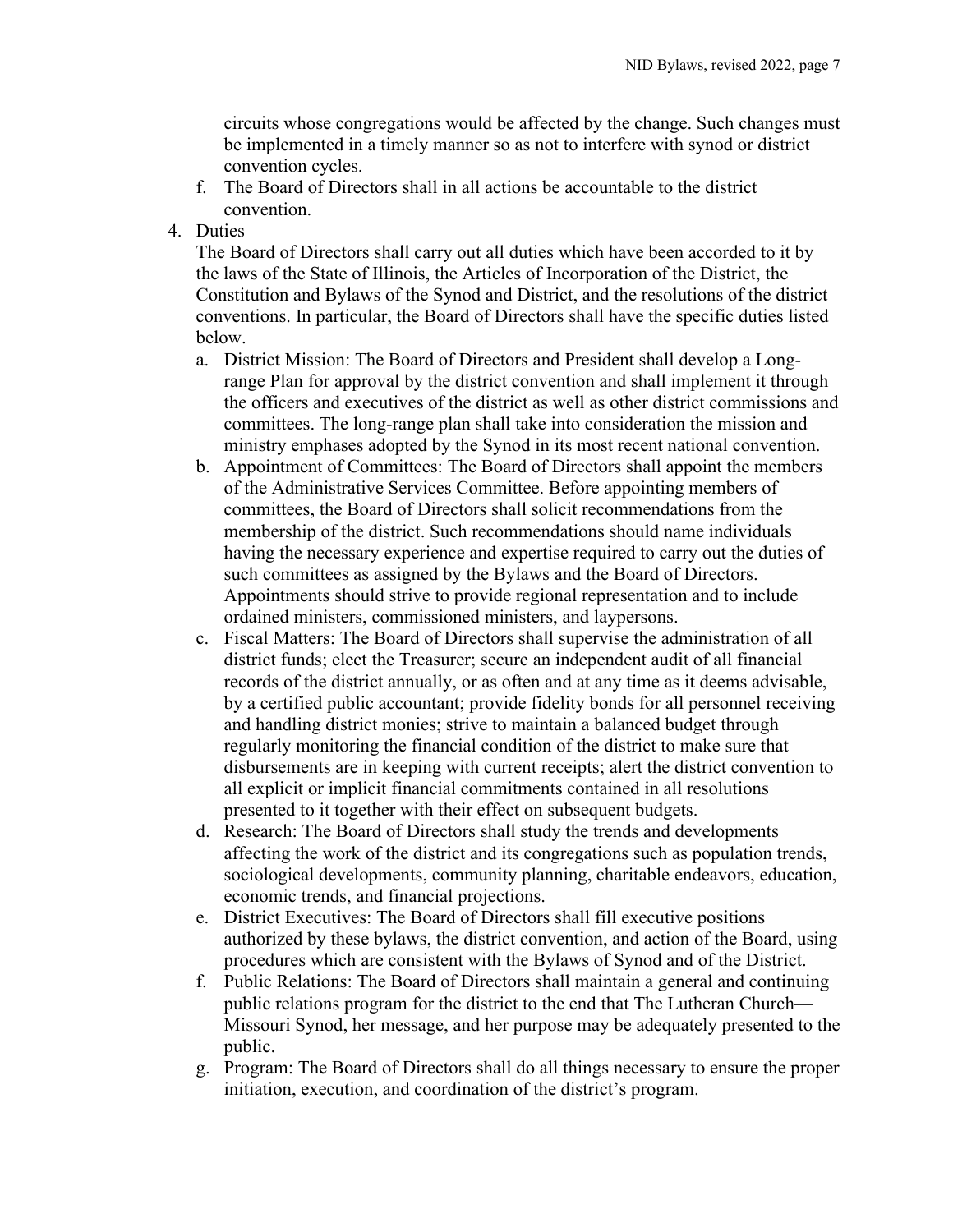circuits whose congregations would be affected by the change. Such changes must be implemented in a timely manner so as not to interfere with synod or district convention cycles.

- f. The Board of Directors shall in all actions be accountable to the district convention.
- <span id="page-7-0"></span>4. Duties

The Board of Directors shall carry out all duties which have been accorded to it by the laws of the State of Illinois, the Articles of Incorporation of the District, the Constitution and Bylaws of the Synod and District, and the resolutions of the district conventions. In particular, the Board of Directors shall have the specific duties listed below.

- a. District Mission: The Board of Directors and President shall develop a Longrange Plan for approval by the district convention and shall implement it through the officers and executives of the district as well as other district commissions and committees. The long-range plan shall take into consideration the mission and ministry emphases adopted by the Synod in its most recent national convention.
- b. Appointment of Committees: The Board of Directors shall appoint the members of the Administrative Services Committee. Before appointing members of committees, the Board of Directors shall solicit recommendations from the membership of the district. Such recommendations should name individuals having the necessary experience and expertise required to carry out the duties of such committees as assigned by the Bylaws and the Board of Directors. Appointments should strive to provide regional representation and to include ordained ministers, commissioned ministers, and laypersons.
- c. Fiscal Matters: The Board of Directors shall supervise the administration of all district funds; elect the Treasurer; secure an independent audit of all financial records of the district annually, or as often and at any time as it deems advisable, by a certified public accountant; provide fidelity bonds for all personnel receiving and handling district monies; strive to maintain a balanced budget through regularly monitoring the financial condition of the district to make sure that disbursements are in keeping with current receipts; alert the district convention to all explicit or implicit financial commitments contained in all resolutions presented to it together with their effect on subsequent budgets.
- d. Research: The Board of Directors shall study the trends and developments affecting the work of the district and its congregations such as population trends, sociological developments, community planning, charitable endeavors, education, economic trends, and financial projections.
- e. District Executives: The Board of Directors shall fill executive positions authorized by these bylaws, the district convention, and action of the Board, using procedures which are consistent with the Bylaws of Synod and of the District.
- f. Public Relations: The Board of Directors shall maintain a general and continuing public relations program for the district to the end that The Lutheran Church— Missouri Synod, her message, and her purpose may be adequately presented to the public.
- g. Program: The Board of Directors shall do all things necessary to ensure the proper initiation, execution, and coordination of the district's program.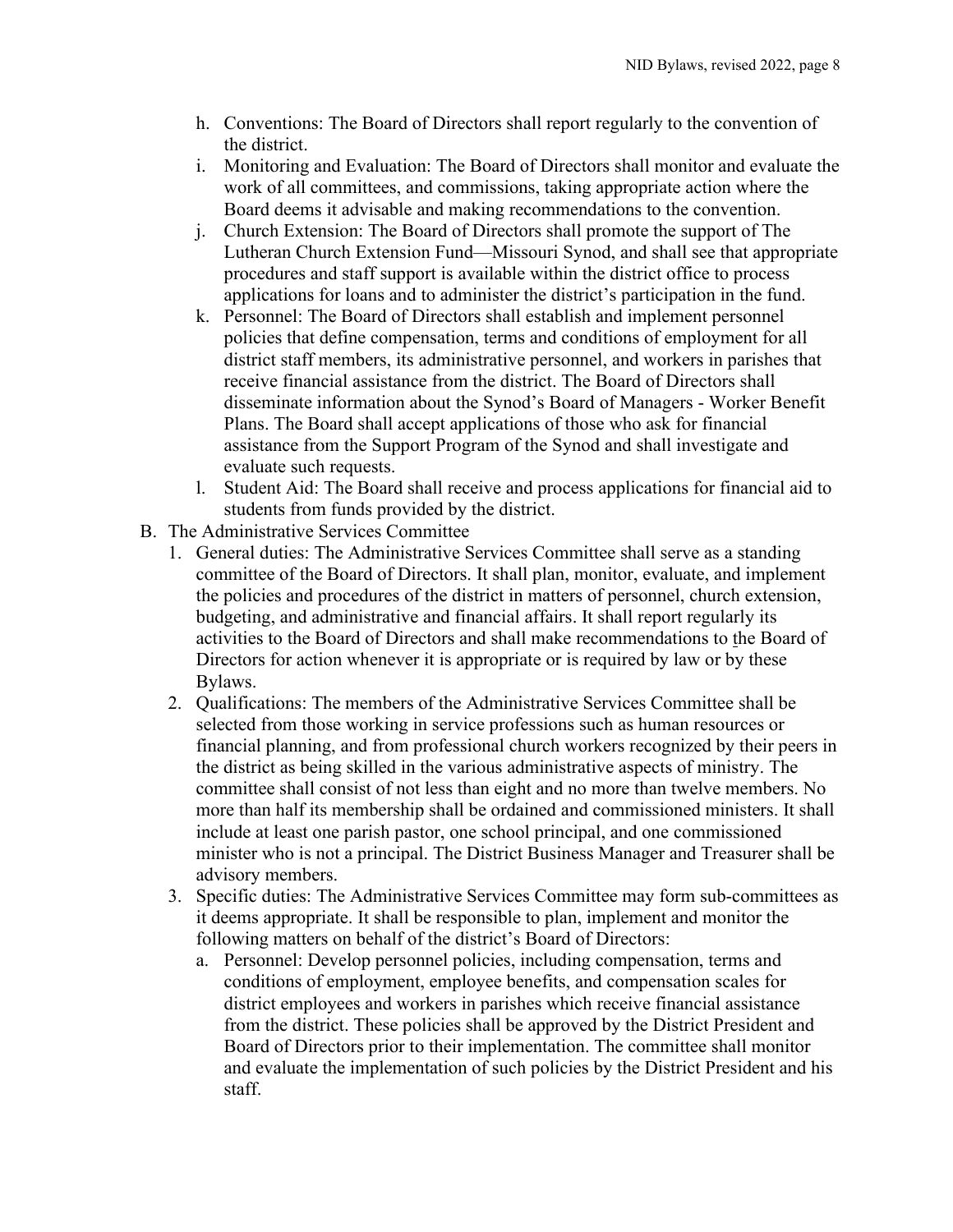- h. Conventions: The Board of Directors shall report regularly to the convention of the district.
- i. Monitoring and Evaluation: The Board of Directors shall monitor and evaluate the work of all committees, and commissions, taking appropriate action where the Board deems it advisable and making recommendations to the convention.
- j. Church Extension: The Board of Directors shall promote the support of The Lutheran Church Extension Fund—Missouri Synod, and shall see that appropriate procedures and staff support is available within the district office to process applications for loans and to administer the district's participation in the fund.
- k. Personnel: The Board of Directors shall establish and implement personnel policies that define compensation, terms and conditions of employment for all district staff members, its administrative personnel, and workers in parishes that receive financial assistance from the district. The Board of Directors shall disseminate information about the Synod's Board of Managers - Worker Benefit Plans. The Board shall accept applications of those who ask for financial assistance from the Support Program of the Synod and shall investigate and evaluate such requests.
- l. Student Aid: The Board shall receive and process applications for financial aid to students from funds provided by the district.
- <span id="page-8-3"></span><span id="page-8-2"></span><span id="page-8-1"></span><span id="page-8-0"></span>B. The Administrative Services Committee
	- 1. General duties: The Administrative Services Committee shall serve as a standing committee of the Board of Directors. It shall plan, monitor, evaluate, and implement the policies and procedures of the district in matters of personnel, church extension, budgeting, and administrative and financial affairs. It shall report regularly its activities to the Board of Directors and shall make recommendations to the Board of Directors for action whenever it is appropriate or is required by law or by these Bylaws.
	- 2. Qualifications: The members of the Administrative Services Committee shall be selected from those working in service professions such as human resources or financial planning, and from professional church workers recognized by their peers in the district as being skilled in the various administrative aspects of ministry. The committee shall consist of not less than eight and no more than twelve members. No more than half its membership shall be ordained and commissioned ministers. It shall include at least one parish pastor, one school principal, and one commissioned minister who is not a principal. The District Business Manager and Treasurer shall be advisory members.
	- 3. Specific duties: The Administrative Services Committee may form sub-committees as it deems appropriate. It shall be responsible to plan, implement and monitor the following matters on behalf of the district's Board of Directors:
		- a. Personnel: Develop personnel policies, including compensation, terms and conditions of employment, employee benefits, and compensation scales for district employees and workers in parishes which receive financial assistance from the district. These policies shall be approved by the District President and Board of Directors prior to their implementation. The committee shall monitor and evaluate the implementation of such policies by the District President and his staff.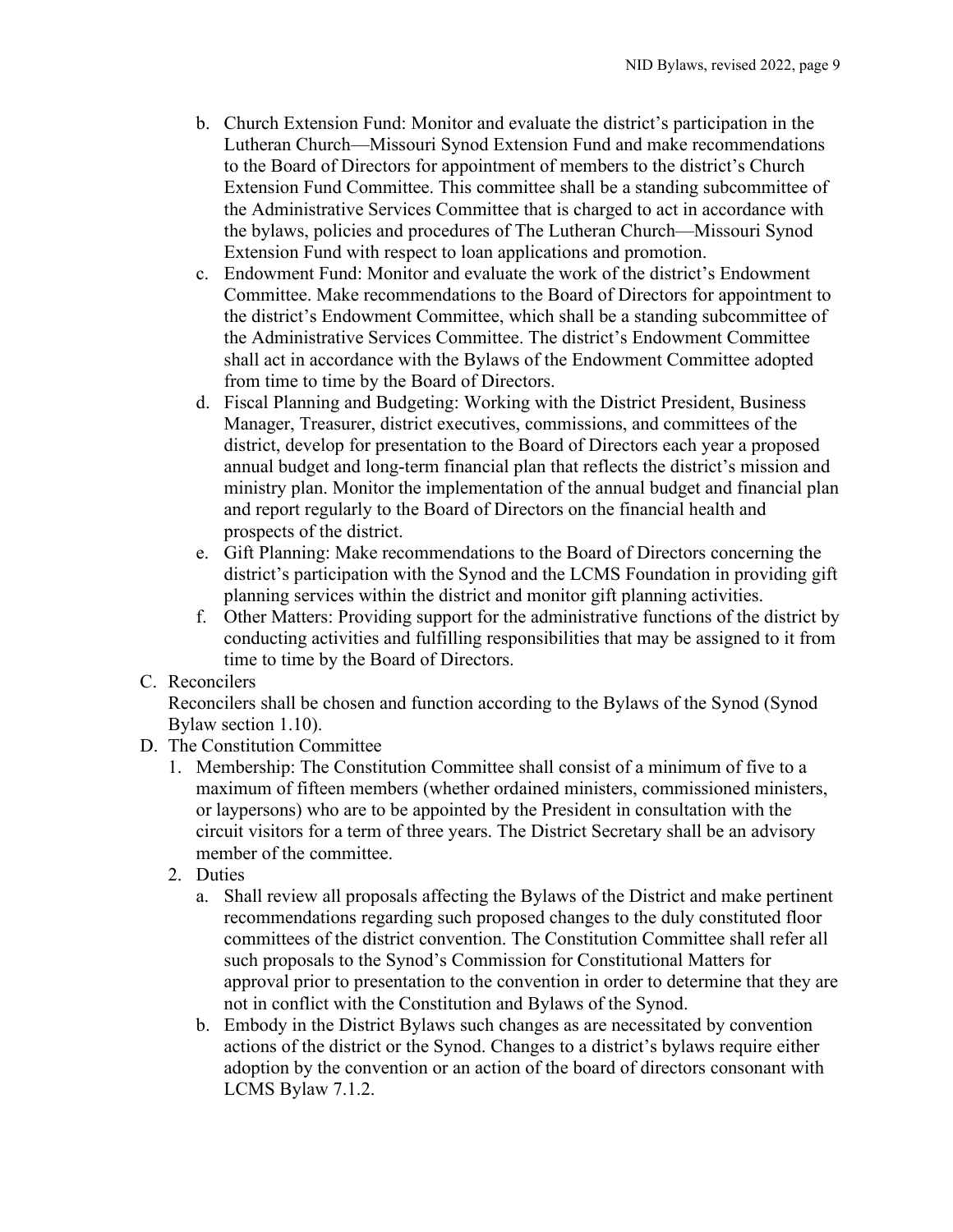- b. Church Extension Fund: Monitor and evaluate the district's participation in the Lutheran Church—Missouri Synod Extension Fund and make recommendations to the Board of Directors for appointment of members to the district's Church Extension Fund Committee. This committee shall be a standing subcommittee of the Administrative Services Committee that is charged to act in accordance with the bylaws, policies and procedures of The Lutheran Church—Missouri Synod Extension Fund with respect to loan applications and promotion.
- c. Endowment Fund: Monitor and evaluate the work of the district's Endowment Committee. Make recommendations to the Board of Directors for appointment to the district's Endowment Committee, which shall be a standing subcommittee of the Administrative Services Committee. The district's Endowment Committee shall act in accordance with the Bylaws of the Endowment Committee adopted from time to time by the Board of Directors.
- d. Fiscal Planning and Budgeting: Working with the District President, Business Manager, Treasurer, district executives, commissions, and committees of the district, develop for presentation to the Board of Directors each year a proposed annual budget and long-term financial plan that reflects the district's mission and ministry plan. Monitor the implementation of the annual budget and financial plan and report regularly to the Board of Directors on the financial health and prospects of the district.
- e. Gift Planning: Make recommendations to the Board of Directors concerning the district's participation with the Synod and the LCMS Foundation in providing gift planning services within the district and monitor gift planning activities.
- f. Other Matters: Providing support for the administrative functions of the district by conducting activities and fulfilling responsibilities that may be assigned to it from time to time by the Board of Directors.
- <span id="page-9-0"></span>C. Reconcilers

Reconcilers shall be chosen and function according to the Bylaws of the Synod (Synod Bylaw section 1.10).

- <span id="page-9-3"></span><span id="page-9-2"></span><span id="page-9-1"></span>D. The Constitution Committee
	- 1. Membership: The Constitution Committee shall consist of a minimum of five to a maximum of fifteen members (whether ordained ministers, commissioned ministers, or laypersons) who are to be appointed by the President in consultation with the circuit visitors for a term of three years. The District Secretary shall be an advisory member of the committee.
	- 2. Duties
		- a. Shall review all proposals affecting the Bylaws of the District and make pertinent recommendations regarding such proposed changes to the duly constituted floor committees of the district convention. The Constitution Committee shall refer all such proposals to the Synod's Commission for Constitutional Matters for approval prior to presentation to the convention in order to determine that they are not in conflict with the Constitution and Bylaws of the Synod.
		- b. Embody in the District Bylaws such changes as are necessitated by convention actions of the district or the Synod. Changes to a district's bylaws require either adoption by the convention or an action of the board of directors consonant with LCMS Bylaw 7.1.2.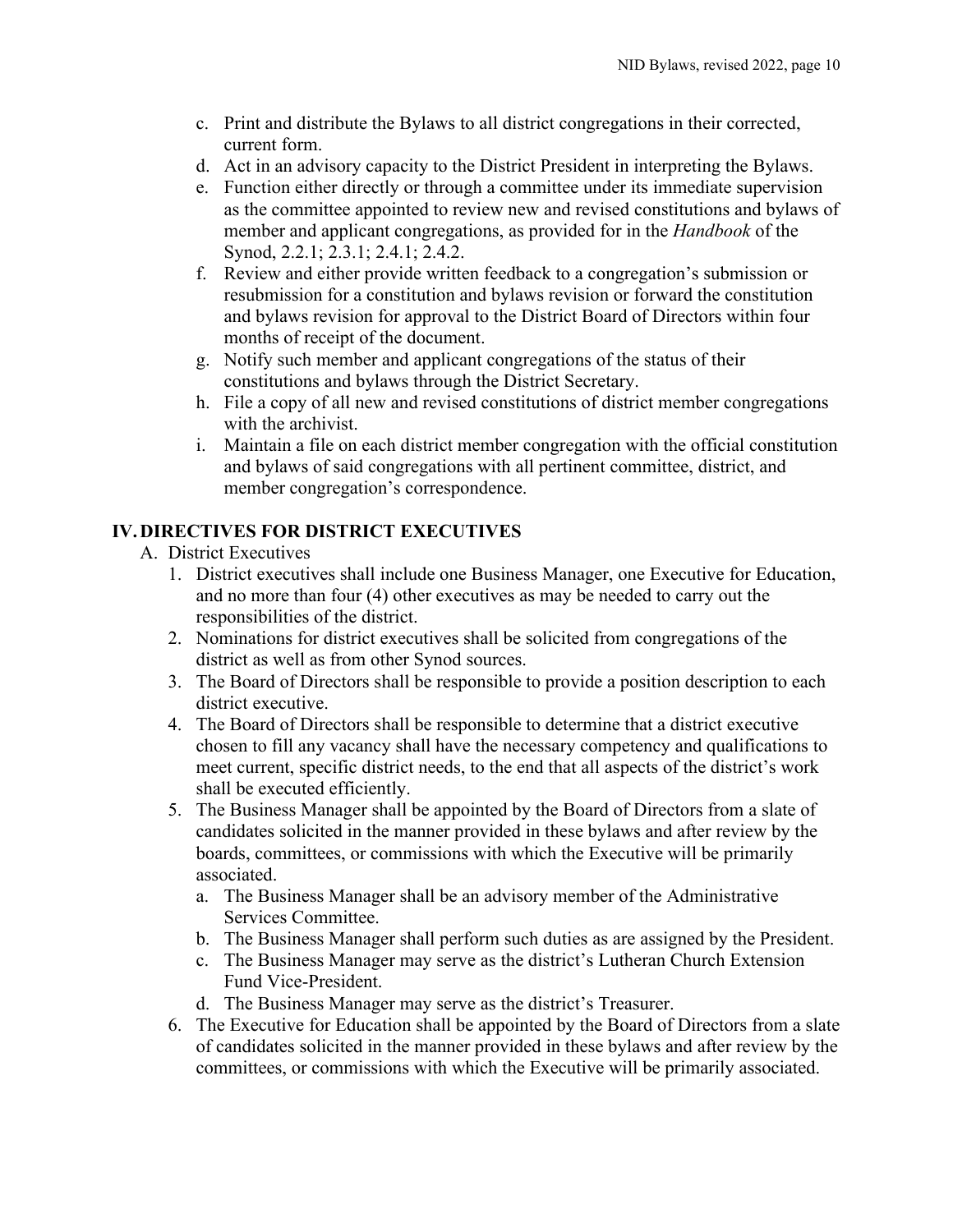- c. Print and distribute the Bylaws to all district congregations in their corrected, current form.
- d. Act in an advisory capacity to the District President in interpreting the Bylaws.
- e. Function either directly or through a committee under its immediate supervision as the committee appointed to review new and revised constitutions and bylaws of member and applicant congregations, as provided for in the *Handbook* of the Synod, 2.2.1; 2.3.1; 2.4.1; 2.4.2.
- f. Review and either provide written feedback to a congregation's submission or resubmission for a constitution and bylaws revision or forward the constitution and bylaws revision for approval to the District Board of Directors within four months of receipt of the document.
- g. Notify such member and applicant congregations of the status of their constitutions and bylaws through the District Secretary.
- h. File a copy of all new and revised constitutions of district member congregations with the archivist.
- i. Maintain a file on each district member congregation with the official constitution and bylaws of said congregations with all pertinent committee, district, and member congregation's correspondence.

## <span id="page-10-1"></span><span id="page-10-0"></span>**IV.DIRECTIVES FOR DISTRICT EXECUTIVES**

- A. District Executives
	- 1. District executives shall include one Business Manager, one Executive for Education, and no more than four (4) other executives as may be needed to carry out the responsibilities of the district.
	- 2. Nominations for district executives shall be solicited from congregations of the district as well as from other Synod sources.
	- 3. The Board of Directors shall be responsible to provide a position description to each district executive.
	- 4. The Board of Directors shall be responsible to determine that a district executive chosen to fill any vacancy shall have the necessary competency and qualifications to meet current, specific district needs, to the end that all aspects of the district's work shall be executed efficiently.
	- 5. The Business Manager shall be appointed by the Board of Directors from a slate of candidates solicited in the manner provided in these bylaws and after review by the boards, committees, or commissions with which the Executive will be primarily associated.
		- a. The Business Manager shall be an advisory member of the Administrative Services Committee.
		- b. The Business Manager shall perform such duties as are assigned by the President.
		- c. The Business Manager may serve as the district's Lutheran Church Extension Fund Vice-President.
		- d. The Business Manager may serve as the district's Treasurer.
	- 6. The Executive for Education shall be appointed by the Board of Directors from a slate of candidates solicited in the manner provided in these bylaws and after review by the committees, or commissions with which the Executive will be primarily associated.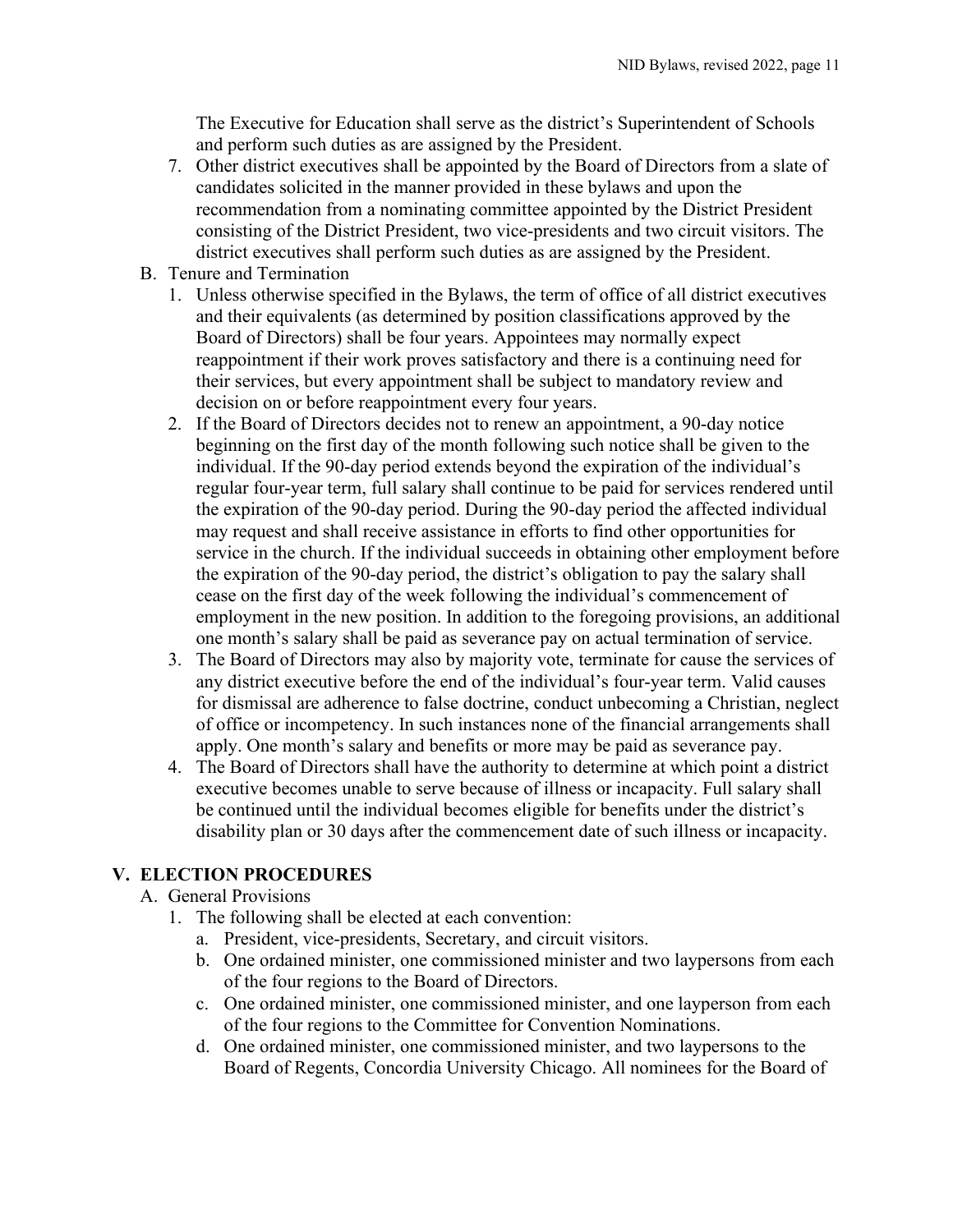The Executive for Education shall serve as the district's Superintendent of Schools and perform such duties as are assigned by the President.

- 7. Other district executives shall be appointed by the Board of Directors from a slate of candidates solicited in the manner provided in these bylaws and upon the recommendation from a nominating committee appointed by the District President consisting of the District President, two vice-presidents and two circuit visitors. The district executives shall perform such duties as are assigned by the President.
- <span id="page-11-0"></span>B. Tenure and Termination
	- 1. Unless otherwise specified in the Bylaws, the term of office of all district executives and their equivalents (as determined by position classifications approved by the Board of Directors) shall be four years. Appointees may normally expect reappointment if their work proves satisfactory and there is a continuing need for their services, but every appointment shall be subject to mandatory review and decision on or before reappointment every four years.
	- 2. If the Board of Directors decides not to renew an appointment, a 90-day notice beginning on the first day of the month following such notice shall be given to the individual. If the 90-day period extends beyond the expiration of the individual's regular four-year term, full salary shall continue to be paid for services rendered until the expiration of the 90-day period. During the 90-day period the affected individual may request and shall receive assistance in efforts to find other opportunities for service in the church. If the individual succeeds in obtaining other employment before the expiration of the 90-day period, the district's obligation to pay the salary shall cease on the first day of the week following the individual's commencement of employment in the new position. In addition to the foregoing provisions, an additional one month's salary shall be paid as severance pay on actual termination of service.
	- 3. The Board of Directors may also by majority vote, terminate for cause the services of any district executive before the end of the individual's four-year term. Valid causes for dismissal are adherence to false doctrine, conduct unbecoming a Christian, neglect of office or incompetency. In such instances none of the financial arrangements shall apply. One month's salary and benefits or more may be paid as severance pay.
	- 4. The Board of Directors shall have the authority to determine at which point a district executive becomes unable to serve because of illness or incapacity. Full salary shall be continued until the individual becomes eligible for benefits under the district's disability plan or 30 days after the commencement date of such illness or incapacity.

## <span id="page-11-2"></span><span id="page-11-1"></span>**V. ELECTION PROCEDURES**

#### A. General Provisions

- 1. The following shall be elected at each convention:
	- a. President, vice-presidents, Secretary, and circuit visitors.
	- b. One ordained minister, one commissioned minister and two laypersons from each of the four regions to the Board of Directors.
	- c. One ordained minister, one commissioned minister, and one layperson from each of the four regions to the Committee for Convention Nominations.
	- d. One ordained minister, one commissioned minister, and two laypersons to the Board of Regents, Concordia University Chicago. All nominees for the Board of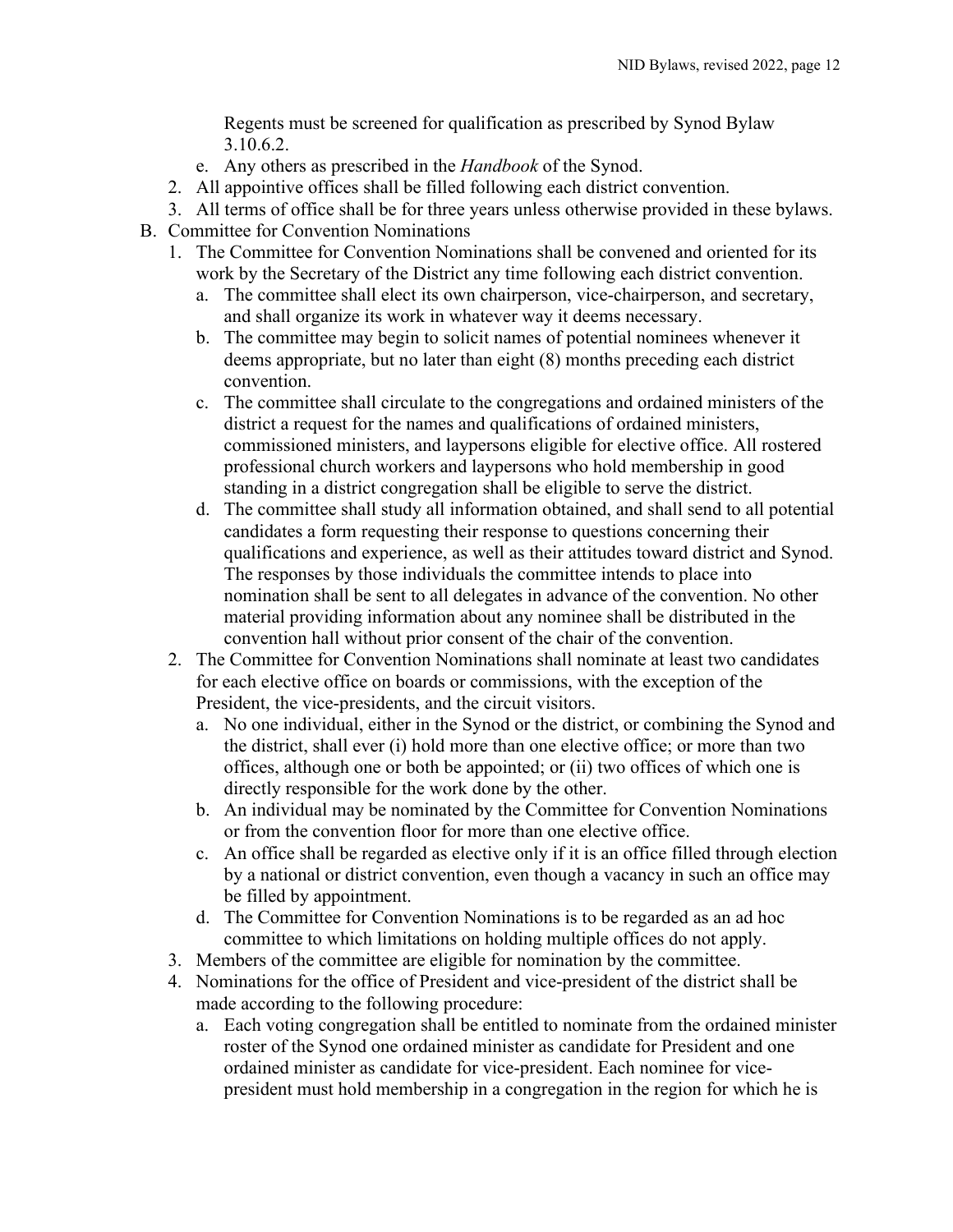Regents must be screened for qualification as prescribed by Synod Bylaw 3.10.6.2.

- e. Any others as prescribed in the *Handbook* of the Synod.
- 2. All appointive offices shall be filled following each district convention.
- 3. All terms of office shall be for three years unless otherwise provided in these bylaws.
- <span id="page-12-0"></span>B. Committee for Convention Nominations
	- 1. The Committee for Convention Nominations shall be convened and oriented for its work by the Secretary of the District any time following each district convention.
		- a. The committee shall elect its own chairperson, vice-chairperson, and secretary, and shall organize its work in whatever way it deems necessary.
		- b. The committee may begin to solicit names of potential nominees whenever it deems appropriate, but no later than eight (8) months preceding each district convention.
		- c. The committee shall circulate to the congregations and ordained ministers of the district a request for the names and qualifications of ordained ministers, commissioned ministers, and laypersons eligible for elective office. All rostered professional church workers and laypersons who hold membership in good standing in a district congregation shall be eligible to serve the district.
		- d. The committee shall study all information obtained, and shall send to all potential candidates a form requesting their response to questions concerning their qualifications and experience, as well as their attitudes toward district and Synod. The responses by those individuals the committee intends to place into nomination shall be sent to all delegates in advance of the convention. No other material providing information about any nominee shall be distributed in the convention hall without prior consent of the chair of the convention.
	- 2. The Committee for Convention Nominations shall nominate at least two candidates for each elective office on boards or commissions, with the exception of the President, the vice-presidents, and the circuit visitors.
		- a. No one individual, either in the Synod or the district, or combining the Synod and the district, shall ever (i) hold more than one elective office; or more than two offices, although one or both be appointed; or (ii) two offices of which one is directly responsible for the work done by the other.
		- b. An individual may be nominated by the Committee for Convention Nominations or from the convention floor for more than one elective office.
		- c. An office shall be regarded as elective only if it is an office filled through election by a national or district convention, even though a vacancy in such an office may be filled by appointment.
		- d. The Committee for Convention Nominations is to be regarded as an ad hoc committee to which limitations on holding multiple offices do not apply.
	- 3. Members of the committee are eligible for nomination by the committee.
	- 4. Nominations for the office of President and vice-president of the district shall be made according to the following procedure:
		- a. Each voting congregation shall be entitled to nominate from the ordained minister roster of the Synod one ordained minister as candidate for President and one ordained minister as candidate for vice-president. Each nominee for vicepresident must hold membership in a congregation in the region for which he is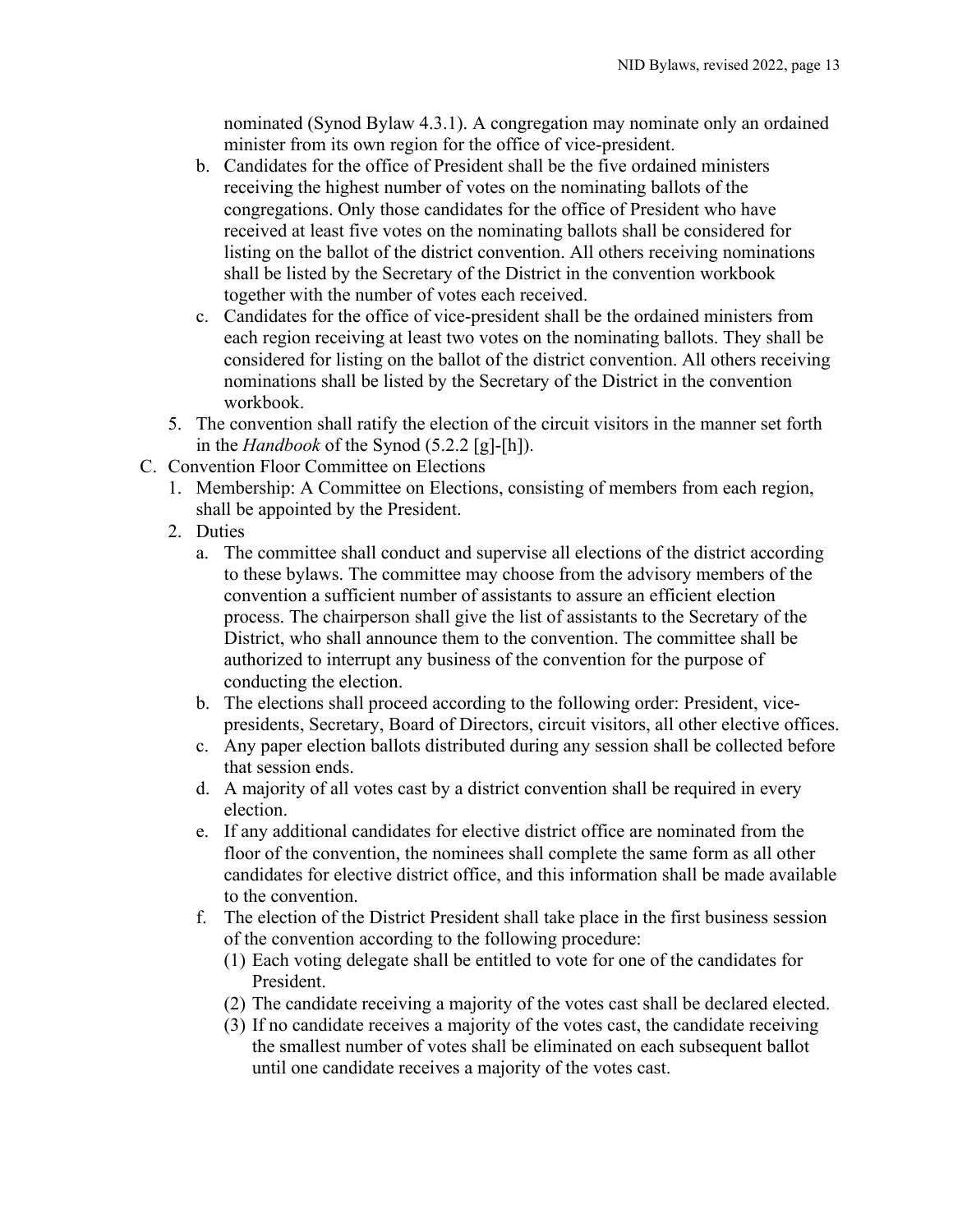nominated (Synod Bylaw 4.3.1). A congregation may nominate only an ordained minister from its own region for the office of vice-president.

- b. Candidates for the office of President shall be the five ordained ministers receiving the highest number of votes on the nominating ballots of the congregations. Only those candidates for the office of President who have received at least five votes on the nominating ballots shall be considered for listing on the ballot of the district convention. All others receiving nominations shall be listed by the Secretary of the District in the convention workbook together with the number of votes each received.
- c. Candidates for the office of vice-president shall be the ordained ministers from each region receiving at least two votes on the nominating ballots. They shall be considered for listing on the ballot of the district convention. All others receiving nominations shall be listed by the Secretary of the District in the convention workbook.
- 5. The convention shall ratify the election of the circuit visitors in the manner set forth in the *Handbook* of the Synod (5.2.2 [g]-[h]).
- <span id="page-13-2"></span><span id="page-13-1"></span><span id="page-13-0"></span>C. Convention Floor Committee on Elections
	- 1. Membership: A Committee on Elections, consisting of members from each region, shall be appointed by the President.
	- 2. Duties
		- a. The committee shall conduct and supervise all elections of the district according to these bylaws. The committee may choose from the advisory members of the convention a sufficient number of assistants to assure an efficient election process. The chairperson shall give the list of assistants to the Secretary of the District, who shall announce them to the convention. The committee shall be authorized to interrupt any business of the convention for the purpose of conducting the election.
		- b. The elections shall proceed according to the following order: President, vicepresidents, Secretary, Board of Directors, circuit visitors, all other elective offices.
		- c. Any paper election ballots distributed during any session shall be collected before that session ends.
		- d. A majority of all votes cast by a district convention shall be required in every election.
		- e. If any additional candidates for elective district office are nominated from the floor of the convention, the nominees shall complete the same form as all other candidates for elective district office, and this information shall be made available to the convention.
		- f. The election of the District President shall take place in the first business session of the convention according to the following procedure:
			- (1) Each voting delegate shall be entitled to vote for one of the candidates for President.
			- (2) The candidate receiving a majority of the votes cast shall be declared elected.
			- (3) If no candidate receives a majority of the votes cast, the candidate receiving the smallest number of votes shall be eliminated on each subsequent ballot until one candidate receives a majority of the votes cast.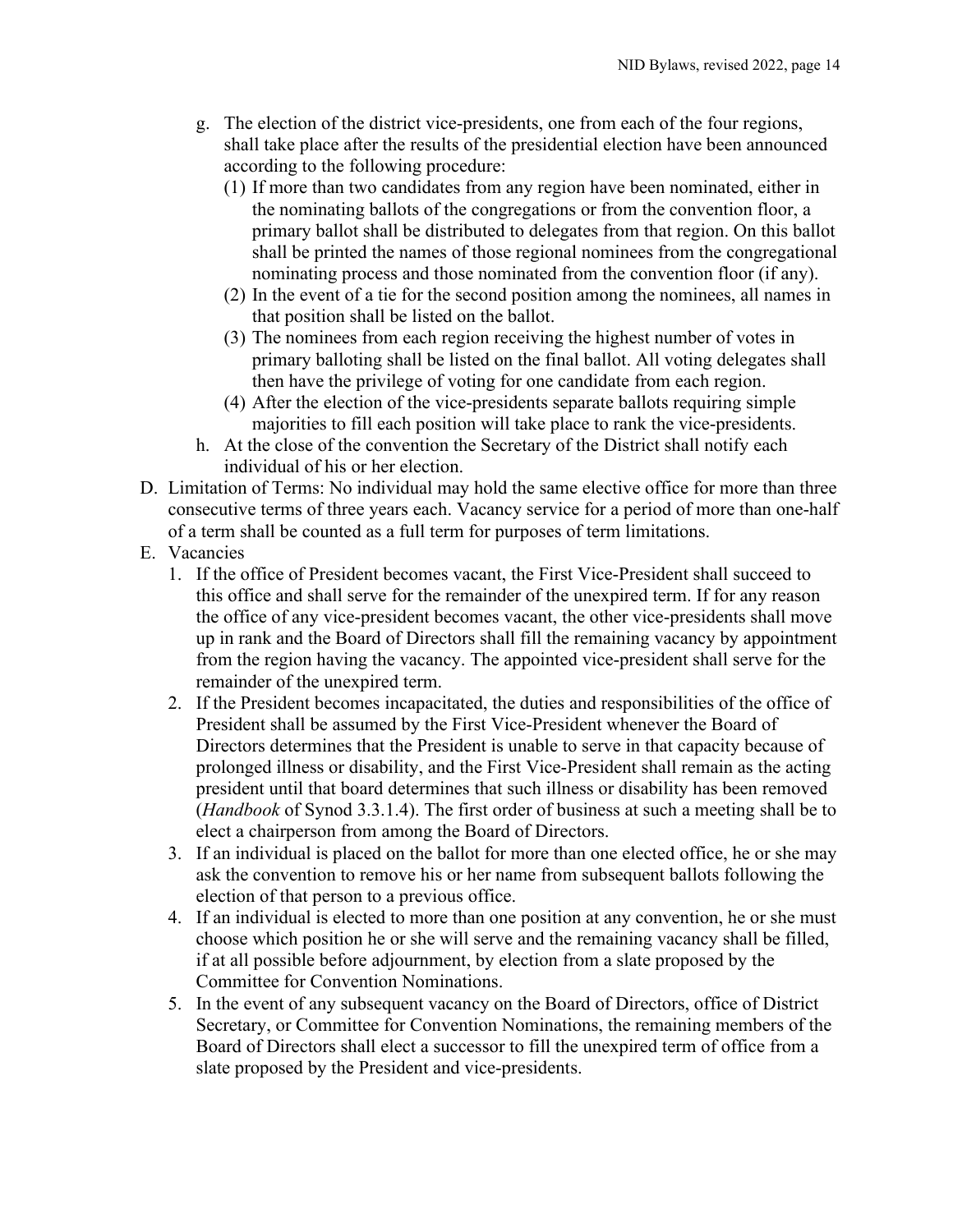- g. The election of the district vice-presidents, one from each of the four regions, shall take place after the results of the presidential election have been announced according to the following procedure:
	- (1) If more than two candidates from any region have been nominated, either in the nominating ballots of the congregations or from the convention floor, a primary ballot shall be distributed to delegates from that region. On this ballot shall be printed the names of those regional nominees from the congregational nominating process and those nominated from the convention floor (if any).
	- (2) In the event of a tie for the second position among the nominees, all names in that position shall be listed on the ballot.
	- (3) The nominees from each region receiving the highest number of votes in primary balloting shall be listed on the final ballot. All voting delegates shall then have the privilege of voting for one candidate from each region.
	- (4) After the election of the vice-presidents separate ballots requiring simple majorities to fill each position will take place to rank the vice-presidents.
- h. At the close of the convention the Secretary of the District shall notify each individual of his or her election.
- <span id="page-14-0"></span>D. Limitation of Terms: No individual may hold the same elective office for more than three consecutive terms of three years each. Vacancy service for a period of more than one-half of a term shall be counted as a full term for purposes of term limitations.
- <span id="page-14-1"></span>E. Vacancies
	- 1. If the office of President becomes vacant, the First Vice-President shall succeed to this office and shall serve for the remainder of the unexpired term. If for any reason the office of any vice-president becomes vacant, the other vice-presidents shall move up in rank and the Board of Directors shall fill the remaining vacancy by appointment from the region having the vacancy. The appointed vice-president shall serve for the remainder of the unexpired term.
	- 2. If the President becomes incapacitated, the duties and responsibilities of the office of President shall be assumed by the First Vice-President whenever the Board of Directors determines that the President is unable to serve in that capacity because of prolonged illness or disability, and the First Vice-President shall remain as the acting president until that board determines that such illness or disability has been removed (*Handbook* of Synod 3.3.1.4). The first order of business at such a meeting shall be to elect a chairperson from among the Board of Directors.
	- 3. If an individual is placed on the ballot for more than one elected office, he or she may ask the convention to remove his or her name from subsequent ballots following the election of that person to a previous office.
	- 4. If an individual is elected to more than one position at any convention, he or she must choose which position he or she will serve and the remaining vacancy shall be filled, if at all possible before adjournment, by election from a slate proposed by the Committee for Convention Nominations.
	- 5. In the event of any subsequent vacancy on the Board of Directors, office of District Secretary, or Committee for Convention Nominations, the remaining members of the Board of Directors shall elect a successor to fill the unexpired term of office from a slate proposed by the President and vice-presidents.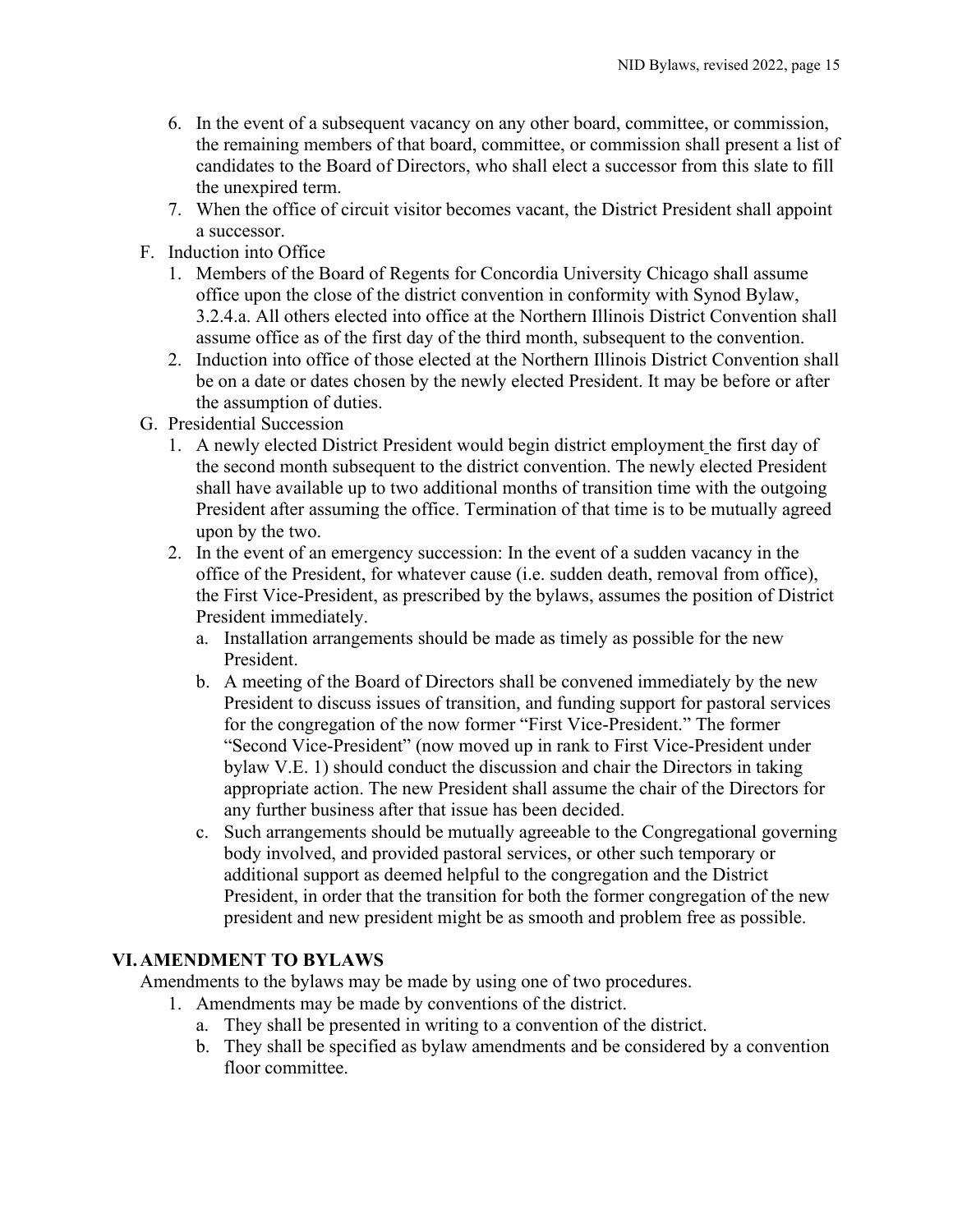- 6. In the event of a subsequent vacancy on any other board, committee, or commission, the remaining members of that board, committee, or commission shall present a list of candidates to the Board of Directors, who shall elect a successor from this slate to fill the unexpired term.
- 7. When the office of circuit visitor becomes vacant, the District President shall appoint a successor.
- <span id="page-15-0"></span>F. Induction into Office
	- 1. Members of the Board of Regents for Concordia University Chicago shall assume office upon the close of the district convention in conformity with Synod Bylaw, 3.2.4.a. All others elected into office at the Northern Illinois District Convention shall assume office as of the first day of the third month, subsequent to the convention.
	- 2. Induction into office of those elected at the Northern Illinois District Convention shall be on a date or dates chosen by the newly elected President. It may be before or after the assumption of duties.
- <span id="page-15-1"></span>G. Presidential Succession
	- 1. A newly elected District President would begin district employment the first day of the second month subsequent to the district convention. The newly elected President shall have available up to two additional months of transition time with the outgoing President after assuming the office. Termination of that time is to be mutually agreed upon by the two.
	- 2. In the event of an emergency succession: In the event of a sudden vacancy in the office of the President, for whatever cause (i.e. sudden death, removal from office), the First Vice-President, as prescribed by the bylaws, assumes the position of District President immediately.
		- a. Installation arrangements should be made as timely as possible for the new President.
		- b. A meeting of the Board of Directors shall be convened immediately by the new President to discuss issues of transition, and funding support for pastoral services for the congregation of the now former "First Vice-President." The former "Second Vice-President" (now moved up in rank to First Vice-President under bylaw V.E. 1) should conduct the discussion and chair the Directors in taking appropriate action. The new President shall assume the chair of the Directors for any further business after that issue has been decided.
		- c. Such arrangements should be mutually agreeable to the Congregational governing body involved, and provided pastoral services, or other such temporary or additional support as deemed helpful to the congregation and the District President, in order that the transition for both the former congregation of the new president and new president might be as smooth and problem free as possible.

## <span id="page-15-2"></span>**VI.AMENDMENT TO BYLAWS**

<span id="page-15-3"></span>Amendments to the bylaws may be made by using one of two procedures.

- 1. Amendments may be made by conventions of the district.
	- a. They shall be presented in writing to a convention of the district.
	- b. They shall be specified as bylaw amendments and be considered by a convention floor committee.